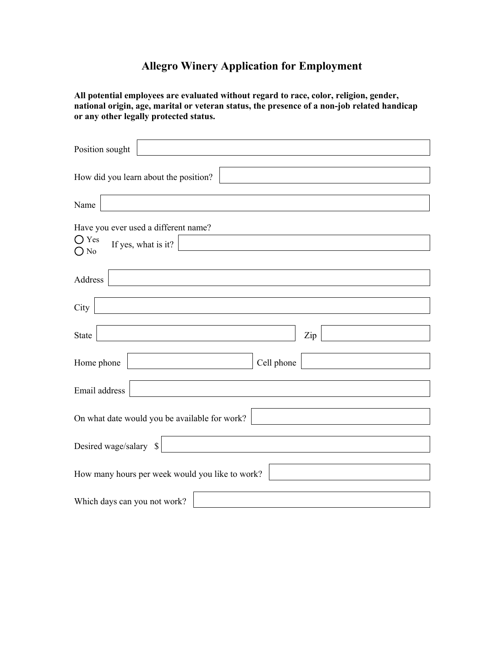## **Allegro Winery Application for Employment**

**All potential employees are evaluated without regard to race, color, religion, gender, national origin, age, marital or veteran status, the presence of a non-job related handicap or any other legally protected status.**

| Position sought                                        |
|--------------------------------------------------------|
| How did you learn about the position?                  |
| Name                                                   |
| Have you ever used a different name?<br>$\bigcirc$ Yes |
| If yes, what is it?<br>$\bigcirc$ No                   |
| Address                                                |
| City                                                   |
|                                                        |
| <b>State</b><br>Zip                                    |
| Cell phone<br>Home phone                               |
| Email address                                          |
| On what date would you be available for work?          |
| Desired wage/salary $\  \$                             |
| How many hours per week would you like to work?        |
|                                                        |
| Which days can you not work?                           |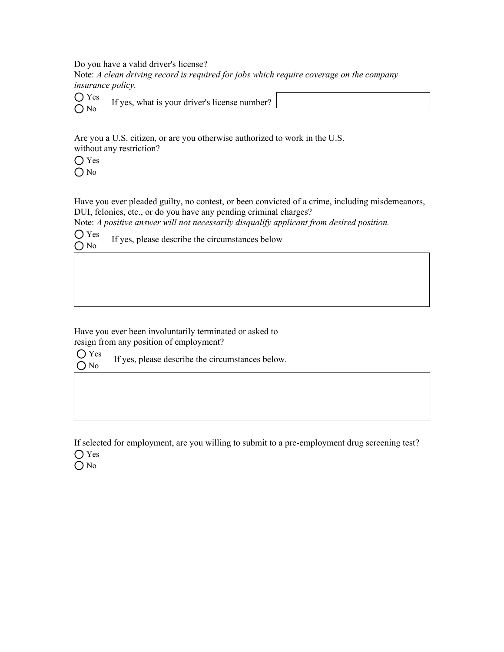Do you have a valid driver's license?

Note: *A clean driving record is required for jobs which require coverage on the company insurance policy.*

 If yes, what is your driver's license number? ○ Yes O No

Are you a U.S. citizen, or are you otherwise authorized to work in the U.S. without any restriction?

 $\bigcap$  Yes O No

Have you ever pleaded guilty, no contest, or been convicted of a crime, including misdemeanors, DUI, felonies, etc., or do you have any pending criminal charges?

Note: *A positive answer will not necessarily disqualify applicant from desired position.*

 If yes, please describe the circumstances below ◯ Yes  $\bigcirc$  No

Have you ever been involuntarily terminated or asked to resign from any position of employment?

 If yes, please describe the circumstances below. Yes O No

If selected for employment, are you willing to submit to a pre-employment drug screening test? O Yes

O No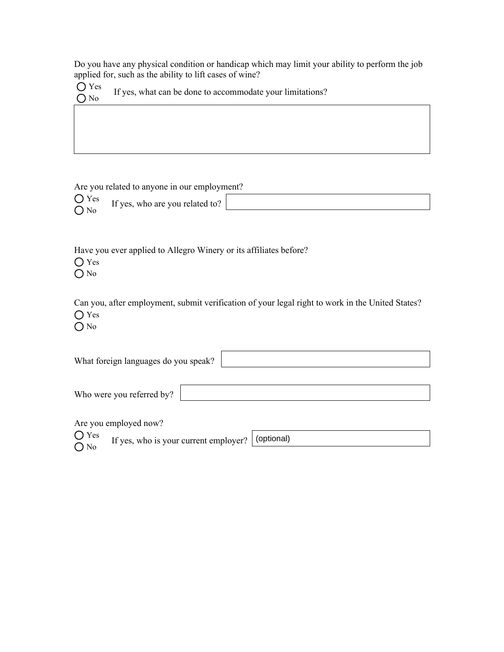Do you have any physical condition or handicap which may limit your ability to perform the job applied for, such as the ability to lift cases of wine?

| $\bigcirc$ Yes<br>$O$ No | If yes, what can be done to accommodate your limitations? |
|--------------------------|-----------------------------------------------------------|
|--------------------------|-----------------------------------------------------------|

Are you related to anyone in our employment?

| $\bigcup$ Yes | $\mathbf{r}$ $\alpha$<br>If yes, who are you related to? |  |  |
|---------------|----------------------------------------------------------|--|--|
|               |                                                          |  |  |

Have you ever applied to Allegro Winery or its affiliates before?

Yes

O No

Can you, after employment, submit verification of your legal right to work in the United States? Yes

O No

| What foreign languages do you speak? |                                       |            |  |  |
|--------------------------------------|---------------------------------------|------------|--|--|
|                                      |                                       |            |  |  |
|                                      | Who were you referred by?             |            |  |  |
|                                      |                                       |            |  |  |
|                                      | Are you employed now?                 |            |  |  |
| $\bigcirc$ Yes                       | If yes, who is your current employer? | (optional) |  |  |
| $O$ No                               |                                       |            |  |  |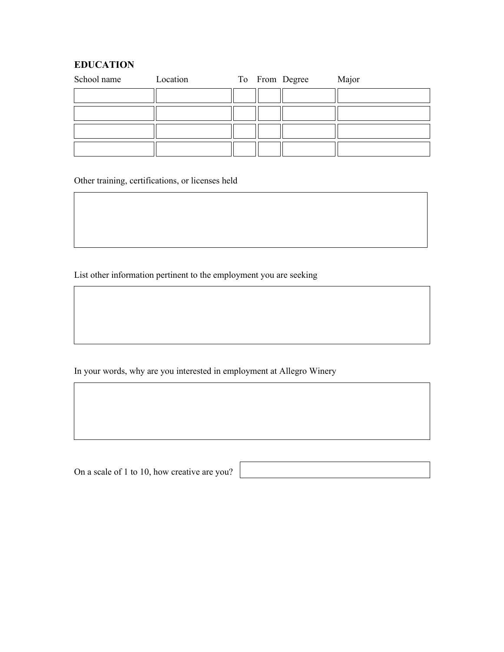## **EDUCATION**

| School name | Location |  | To From Degree | Major |
|-------------|----------|--|----------------|-------|
|             |          |  |                |       |
|             |          |  |                |       |
|             |          |  |                |       |
|             |          |  |                |       |

Other training, certifications, or licenses held

List other information pertinent to the employment you are seeking

In your words, why are you interested in employment at Allegro Winery

On a scale of 1 to 10, how creative are you?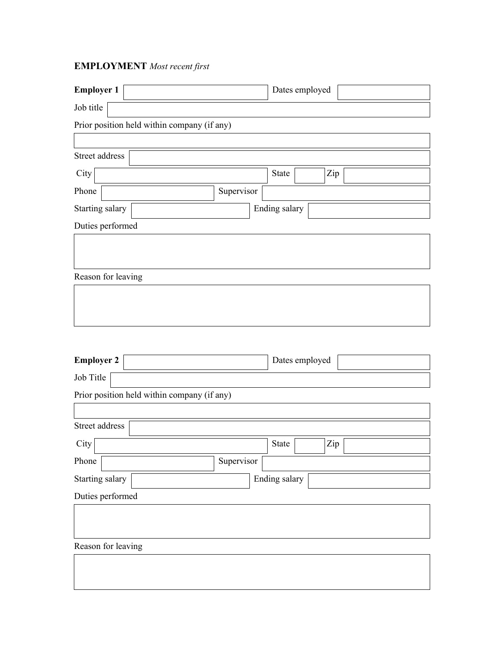## **EMPLOYMENT** *Most recent first*

| <b>Employer 1</b>                           |            |               | Dates employed |     |  |
|---------------------------------------------|------------|---------------|----------------|-----|--|
| Job title                                   |            |               |                |     |  |
| Prior position held within company (if any) |            |               |                |     |  |
|                                             |            |               |                |     |  |
| Street address                              |            |               |                |     |  |
| City                                        |            | <b>State</b>  |                | Zip |  |
| Phone                                       | Supervisor |               |                |     |  |
| Starting salary                             |            | Ending salary |                |     |  |
| Duties performed                            |            |               |                |     |  |
|                                             |            |               |                |     |  |
|                                             |            |               |                |     |  |
| Reason for leaving                          |            |               |                |     |  |
|                                             |            |               |                |     |  |
|                                             |            |               |                |     |  |
|                                             |            |               |                |     |  |
|                                             |            |               |                |     |  |
| <b>Employer 2</b>                           |            |               | Dates employed |     |  |
| Job Title                                   |            |               |                |     |  |
| Prior position held within company (if any) |            |               |                |     |  |
|                                             |            |               |                |     |  |
| Street address                              |            |               |                |     |  |
| City                                        |            | <b>State</b>  |                | Zip |  |
| Phone                                       | Supervisor |               |                |     |  |
| Starting salary<br>Ending salary            |            |               |                |     |  |
| Duties performed                            |            |               |                |     |  |
|                                             |            |               |                |     |  |
|                                             |            |               |                |     |  |
| Reason for leaving                          |            |               |                |     |  |
|                                             |            |               |                |     |  |
|                                             |            |               |                |     |  |
|                                             |            |               |                |     |  |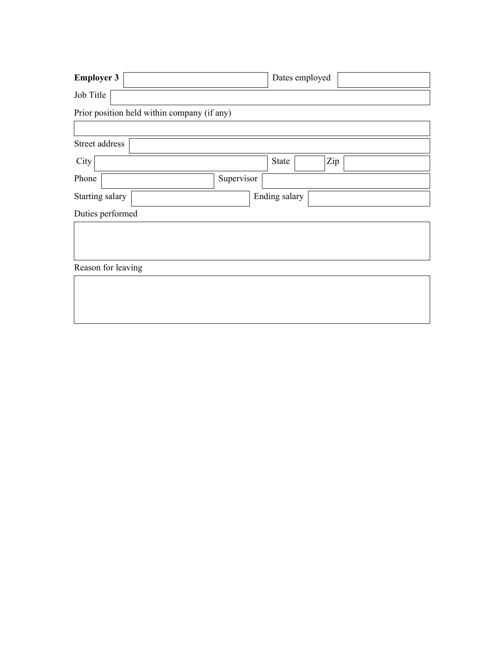| <b>Employer 3</b>                           |            | Dates employed |     |
|---------------------------------------------|------------|----------------|-----|
| Job Title                                   |            |                |     |
| Prior position held within company (if any) |            |                |     |
|                                             |            |                |     |
| Street address                              |            |                |     |
| City                                        |            | <b>State</b>   | Zip |
| Phone                                       | Supervisor |                |     |
| Starting salary                             |            | Ending salary  |     |
| Duties performed                            |            |                |     |
|                                             |            |                |     |
|                                             |            |                |     |
| Reason for leaving                          |            |                |     |
|                                             |            |                |     |
|                                             |            |                |     |
|                                             |            |                |     |

 $\mathbf{I}$